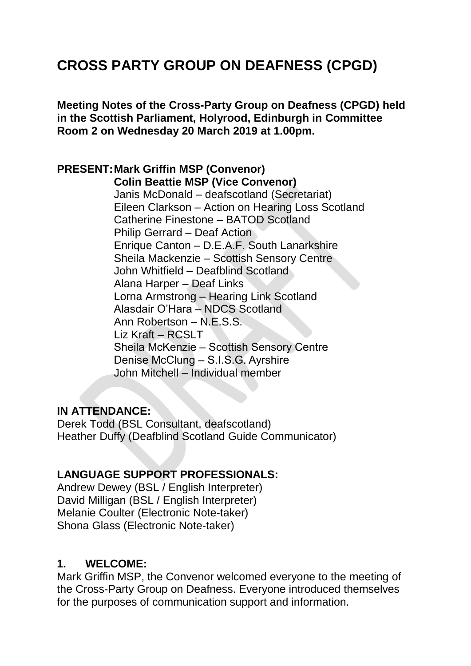# **CROSS PARTY GROUP ON DEAFNESS (CPGD)**

**Meeting Notes of the Cross-Party Group on Deafness (CPGD) held in the Scottish Parliament, Holyrood, Edinburgh in Committee Room 2 on Wednesday 20 March 2019 at 1.00pm.**

#### **PRESENT:Mark Griffin MSP (Convenor) Colin Beattie MSP (Vice Convenor)**

Janis McDonald – deafscotland (Secretariat) Eileen Clarkson – Action on Hearing Loss Scotland Catherine Finestone – BATOD Scotland Philip Gerrard – Deaf Action Enrique Canton – D.E.A.F. South Lanarkshire Sheila Mackenzie – Scottish Sensory Centre John Whitfield – Deafblind Scotland Alana Harper – Deaf Links Lorna Armstrong – Hearing Link Scotland Alasdair O'Hara – NDCS Scotland Ann Robertson – N.E.S.S. Liz Kraft – RCSLT Sheila McKenzie – Scottish Sensory Centre Denise McClung – S.I.S.G. Ayrshire John Mitchell – Individual member

### **IN ATTENDANCE:**

Derek Todd (BSL Consultant, deafscotland) Heather Duffy (Deafblind Scotland Guide Communicator)

### **LANGUAGE SUPPORT PROFESSIONALS:**

Andrew Dewey (BSL / English Interpreter) David Milligan (BSL / English Interpreter) Melanie Coulter (Electronic Note-taker) Shona Glass (Electronic Note-taker)

### **1. WELCOME:**

Mark Griffin MSP, the Convenor welcomed everyone to the meeting of the Cross-Party Group on Deafness. Everyone introduced themselves for the purposes of communication support and information.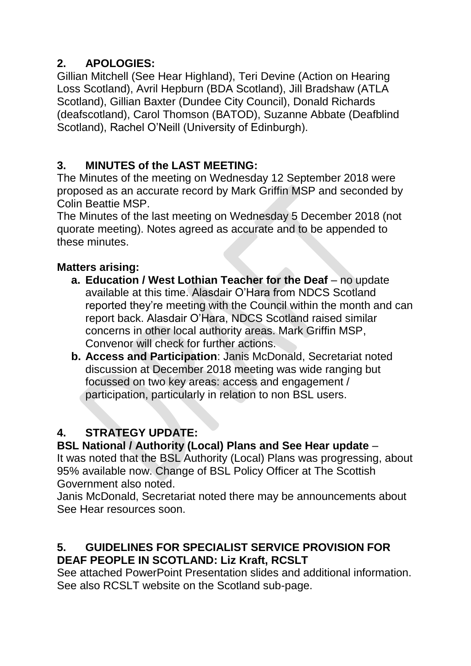# **2. APOLOGIES:**

Gillian Mitchell (See Hear Highland), Teri Devine (Action on Hearing Loss Scotland), Avril Hepburn (BDA Scotland), Jill Bradshaw (ATLA Scotland), Gillian Baxter (Dundee City Council), Donald Richards (deafscotland), Carol Thomson (BATOD), Suzanne Abbate (Deafblind Scotland), Rachel O'Neill (University of Edinburgh).

# **3. MINUTES of the LAST MEETING:**

The Minutes of the meeting on Wednesday 12 September 2018 were proposed as an accurate record by Mark Griffin MSP and seconded by Colin Beattie MSP.

The Minutes of the last meeting on Wednesday 5 December 2018 (not quorate meeting). Notes agreed as accurate and to be appended to these minutes.

# **Matters arising:**

- **a. Education / West Lothian Teacher for the Deaf** no update available at this time. Alasdair O'Hara from NDCS Scotland reported they're meeting with the Council within the month and can report back. Alasdair O'Hara, NDCS Scotland raised similar concerns in other local authority areas. Mark Griffin MSP, Convenor will check for further actions.
- **b. Access and Participation**: Janis McDonald, Secretariat noted discussion at December 2018 meeting was wide ranging but focussed on two key areas: access and engagement / participation, particularly in relation to non BSL users.

# **4. STRATEGY UPDATE:**

**BSL National / Authority (Local) Plans and See Hear update** – It was noted that the BSL Authority (Local) Plans was progressing, about 95% available now. Change of BSL Policy Officer at The Scottish Government also noted.

Janis McDonald, Secretariat noted there may be announcements about See Hear resources soon.

### **5. GUIDELINES FOR SPECIALIST SERVICE PROVISION FOR DEAF PEOPLE IN SCOTLAND: Liz Kraft, RCSLT**

See attached PowerPoint Presentation slides and additional information. See also RCSLT website on the Scotland sub-page.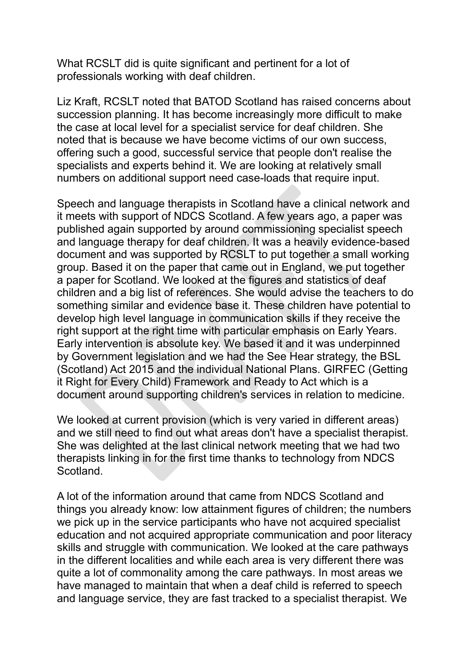What RCSLT did is quite significant and pertinent for a lot of professionals working with deaf children.

Liz Kraft, RCSLT noted that BATOD Scotland has raised concerns about succession planning. It has become increasingly more difficult to make the case at local level for a specialist service for deaf children. She noted that is because we have become victims of our own success, offering such a good, successful service that people don't realise the specialists and experts behind it. We are looking at relatively small numbers on additional support need case-loads that require input.

Speech and language therapists in Scotland have a clinical network and it meets with support of NDCS Scotland. A few years ago, a paper was published again supported by around commissioning specialist speech and language therapy for deaf children. It was a heavily evidence-based document and was supported by RCSLT to put together a small working group. Based it on the paper that came out in England, we put together a paper for Scotland. We looked at the figures and statistics of deaf children and a big list of references. She would advise the teachers to do something similar and evidence base it. These children have potential to develop high level language in communication skills if they receive the right support at the right time with particular emphasis on Early Years. Early intervention is absolute key. We based it and it was underpinned by Government legislation and we had the See Hear strategy, the BSL (Scotland) Act 2015 and the individual National Plans. GIRFEC (Getting it Right for Every Child) Framework and Ready to Act which is a document around supporting children's services in relation to medicine.

We looked at current provision (which is very varied in different areas) and we still need to find out what areas don't have a specialist therapist. She was delighted at the last clinical network meeting that we had two therapists linking in for the first time thanks to technology from NDCS Scotland.

A lot of the information around that came from NDCS Scotland and things you already know: low attainment figures of children; the numbers we pick up in the service participants who have not acquired specialist education and not acquired appropriate communication and poor literacy skills and struggle with communication. We looked at the care pathways in the different localities and while each area is very different there was quite a lot of commonality among the care pathways. In most areas we have managed to maintain that when a deaf child is referred to speech and language service, they are fast tracked to a specialist therapist. We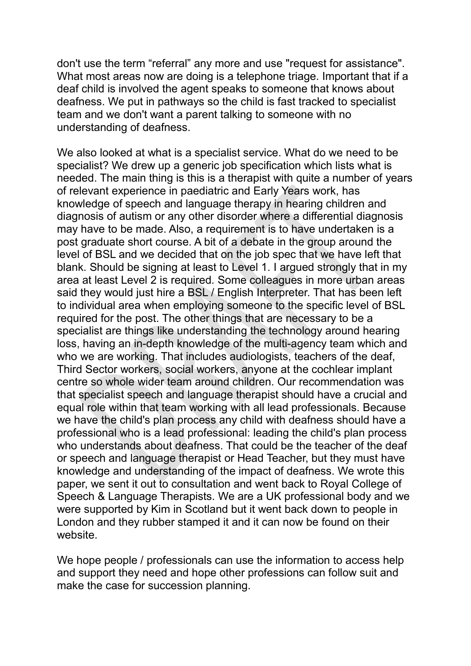don't use the term "referral" any more and use "request for assistance". What most areas now are doing is a telephone triage. Important that if a deaf child is involved the agent speaks to someone that knows about deafness. We put in pathways so the child is fast tracked to specialist team and we don't want a parent talking to someone with no understanding of deafness.

We also looked at what is a specialist service. What do we need to be specialist? We drew up a generic job specification which lists what is needed. The main thing is this is a therapist with quite a number of years of relevant experience in paediatric and Early Years work, has knowledge of speech and language therapy in hearing children and diagnosis of autism or any other disorder where a differential diagnosis may have to be made. Also, a requirement is to have undertaken is a post graduate short course. A bit of a debate in the group around the level of BSL and we decided that on the job spec that we have left that blank. Should be signing at least to Level 1. I argued strongly that in my area at least Level 2 is required. Some colleagues in more urban areas said they would just hire a BSL / English Interpreter. That has been left to individual area when employing someone to the specific level of BSL required for the post. The other things that are necessary to be a specialist are things like understanding the technology around hearing loss, having an in-depth knowledge of the multi-agency team which and who we are working. That includes audiologists, teachers of the deaf, Third Sector workers, social workers, anyone at the cochlear implant centre so whole wider team around children. Our recommendation was that specialist speech and language therapist should have a crucial and equal role within that team working with all lead professionals. Because we have the child's plan process any child with deafness should have a professional who is a lead professional: leading the child's plan process who understands about deafness. That could be the teacher of the deaf or speech and language therapist or Head Teacher, but they must have knowledge and understanding of the impact of deafness. We wrote this paper, we sent it out to consultation and went back to Royal College of Speech & Language Therapists. We are a UK professional body and we were supported by Kim in Scotland but it went back down to people in London and they rubber stamped it and it can now be found on their website.

We hope people / professionals can use the information to access help and support they need and hope other professions can follow suit and make the case for succession planning.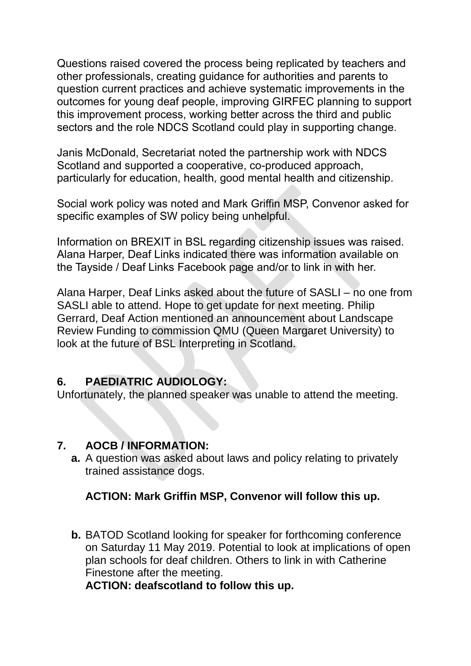Questions raised covered the process being replicated by teachers and other professionals, creating guidance for authorities and parents to question current practices and achieve systematic improvements in the outcomes for young deaf people, improving GIRFEC planning to support this improvement process, working better across the third and public sectors and the role NDCS Scotland could play in supporting change.

Janis McDonald, Secretariat noted the partnership work with NDCS Scotland and supported a cooperative, co-produced approach, particularly for education, health, good mental health and citizenship.

Social work policy was noted and Mark Griffin MSP, Convenor asked for specific examples of SW policy being unhelpful.

Information on BREXIT in BSL regarding citizenship issues was raised. Alana Harper, Deaf Links indicated there was information available on the Tayside / Deaf Links Facebook page and/or to link in with her.

Alana Harper, Deaf Links asked about the future of SASLI – no one from SASLI able to attend. Hope to get update for next meeting. Philip Gerrard, Deaf Action mentioned an announcement about Landscape Review Funding to commission QMU (Queen Margaret University) to look at the future of BSL Interpreting in Scotland.

### **6. PAEDIATRIC AUDIOLOGY:**

Unfortunately, the planned speaker was unable to attend the meeting.

### **7. AOCB / INFORMATION:**

**a.** A question was asked about laws and policy relating to privately trained assistance dogs.

### **ACTION: Mark Griffin MSP, Convenor will follow this up.**

**b.** BATOD Scotland looking for speaker for forthcoming conference on Saturday 11 May 2019. Potential to look at implications of open plan schools for deaf children. Others to link in with Catherine Finestone after the meeting.

**ACTION: deafscotland to follow this up.**